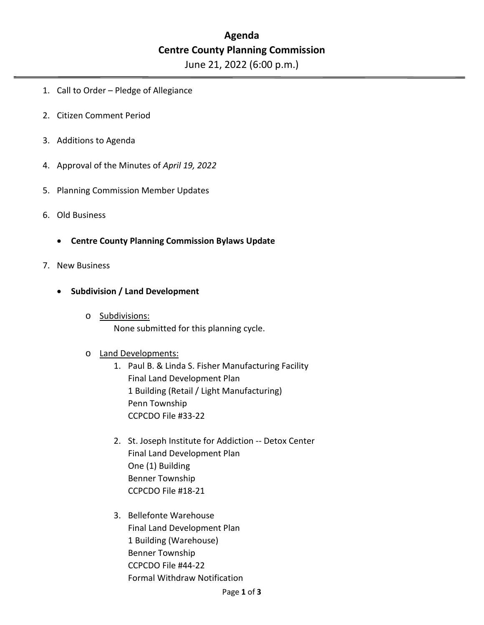# **Agenda Centre County Planning Commission**

June 21, 2022 (6:00 p.m.)

- 1. Call to Order Pledge of Allegiance
- 2. Citizen Comment Period
- 3. Additions to Agenda
- 4. Approval of the Minutes of *April 19, 2022*
- 5. Planning Commission Member Updates
- 6. Old Business
	- **Centre County Planning Commission Bylaws Update**
- 7. New Business
	- **Subdivision / Land Development**
		- o Subdivisions: None submitted for this planning cycle.

#### o Land Developments:

- 1. Paul B. & Linda S. Fisher Manufacturing Facility Final Land Development Plan 1 Building (Retail / Light Manufacturing) Penn Township CCPCDO File #33-22
- 2. St. Joseph Institute for Addiction -- Detox Center Final Land Development Plan One (1) Building Benner Township CCPCDO File #18-21
- 3. Bellefonte Warehouse Final Land Development Plan 1 Building (Warehouse) Benner Township CCPCDO File #44-22 Formal Withdraw Notification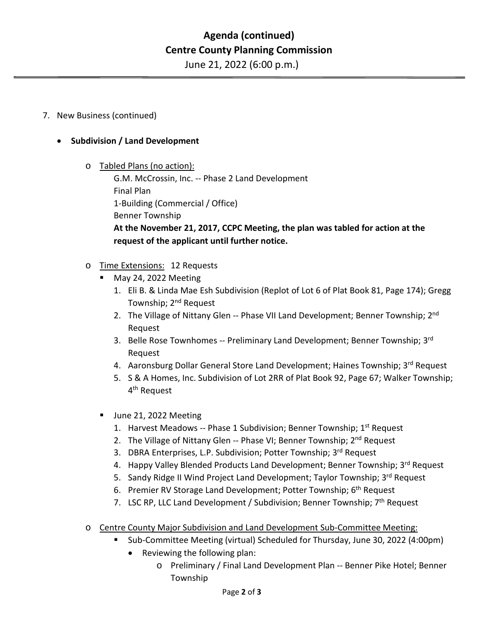June 21, 2022 (6:00 p.m.)

#### 7. New Business (continued)

### • **Subdivision / Land Development**

o Tabled Plans (no action):

G.M. McCrossin, Inc. -- Phase 2 Land Development Final Plan 1-Building (Commercial / Office) Benner Township **At the November 21, 2017, CCPC Meeting, the plan was tabled for action at the request of the applicant until further notice.**

## o Time Extensions: 12 Requests

- May 24, 2022 Meeting
	- 1. Eli B. & Linda Mae Esh Subdivision (Replot of Lot 6 of Plat Book 81, Page 174); Gregg Township; 2<sup>nd</sup> Request
	- 2. The Village of Nittany Glen -- Phase VII Land Development; Benner Township; 2<sup>nd</sup> Request
	- 3. Belle Rose Townhomes -- Preliminary Land Development; Benner Township; 3rd Request
	- 4. Aaronsburg Dollar General Store Land Development; Haines Township; 3rd Request
	- 5. S & A Homes, Inc. Subdivision of Lot 2RR of Plat Book 92, Page 67; Walker Township; 4th Request
- Uune 21, 2022 Meeting
	- 1. Harvest Meadows -- Phase 1 Subdivision; Benner Township; 1<sup>st</sup> Request
	- 2. The Village of Nittany Glen -- Phase VI; Benner Township; 2<sup>nd</sup> Request
	- 3. DBRA Enterprises, L.P. Subdivision; Potter Township; 3rd Request
	- 4. Happy Valley Blended Products Land Development; Benner Township; 3rd Request
	- 5. Sandy Ridge II Wind Project Land Development; Taylor Township; 3rd Request
	- 6. Premier RV Storage Land Development; Potter Township; 6th Request
	- 7. LSC RP, LLC Land Development / Subdivision; Benner Township; 7<sup>th</sup> Request
- o Centre County Major Subdivision and Land Development Sub-Committee Meeting:
	- Sub-Committee Meeting (virtual) Scheduled for Thursday, June 30, 2022 (4:00pm)
		- Reviewing the following plan:
			- o Preliminary / Final Land Development Plan -- Benner Pike Hotel; Benner Township